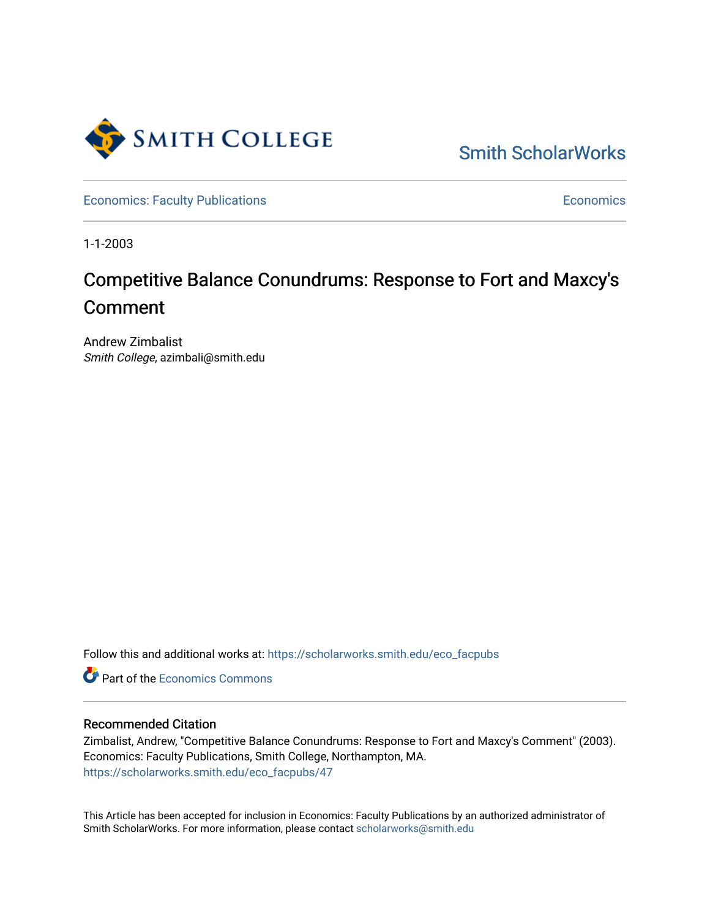

[Smith ScholarWorks](https://scholarworks.smith.edu/) 

[Economics: Faculty Publications](https://scholarworks.smith.edu/eco_facpubs) **Economics** [Economics](https://scholarworks.smith.edu/eco) **Economics** 

1-1-2003

# Competitive Balance Conundrums: Response to Fort and Maxcy's Comment

Andrew Zimbalist Smith College, azimbali@smith.edu

Follow this and additional works at: [https://scholarworks.smith.edu/eco\\_facpubs](https://scholarworks.smith.edu/eco_facpubs?utm_source=scholarworks.smith.edu%2Feco_facpubs%2F47&utm_medium=PDF&utm_campaign=PDFCoverPages) 

**C** Part of the [Economics Commons](http://network.bepress.com/hgg/discipline/340?utm_source=scholarworks.smith.edu%2Feco_facpubs%2F47&utm_medium=PDF&utm_campaign=PDFCoverPages)

## Recommended Citation

Zimbalist, Andrew, "Competitive Balance Conundrums: Response to Fort and Maxcy's Comment" (2003). Economics: Faculty Publications, Smith College, Northampton, MA. [https://scholarworks.smith.edu/eco\\_facpubs/47](https://scholarworks.smith.edu/eco_facpubs/47?utm_source=scholarworks.smith.edu%2Feco_facpubs%2F47&utm_medium=PDF&utm_campaign=PDFCoverPages)

This Article has been accepted for inclusion in Economics: Faculty Publications by an authorized administrator of Smith ScholarWorks. For more information, please contact [scholarworks@smith.edu](mailto:scholarworks@smith.edu)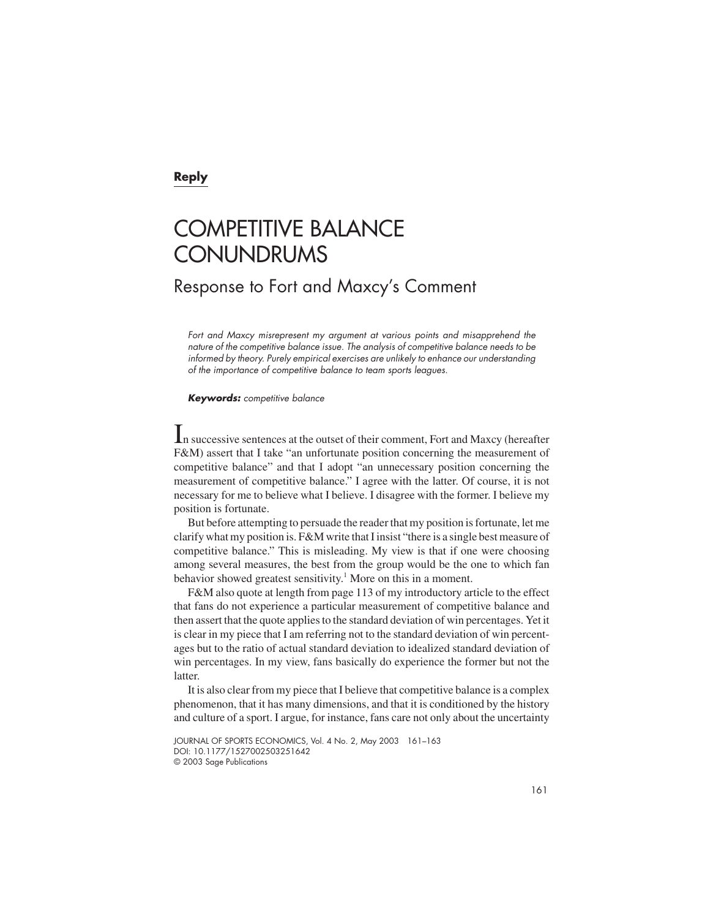## **Reply**

# COMPETITIVE BALANCE **CONUNDRUMS**

## Response to Fort and Maxcy's Comment

Fort and Maxcy misrepresent my argumen<sup>t</sup> at various points and misapprehend the nature of the competitive balance issue. The analysis of competitive balance needs to be informed by theory. Purely empirical exercises are unlikely to enhance our understanding of the importance of competitive balance to team sports leagues.

#### **Keywords:** competitive balance

In successive sentences at the outset of their comment, Fort and Maxcy (hereafter F&M) assert that I take "an unfortunate position concerning the measurement of competitive balance" and that I adopt "an unnecessary position concerning the measurement of competitive balance." I agree with the latter. Of course, it is not necessary for me to believe what I believe. I disagree with the former. I believe my position is fortunate.

But before attempting to persuade the reader that my position is fortunate, let me clarify what my position is. F&M write that I insist "there is a single best measure of competitive balance." This is misleading. My view is that if one were choosing among several measures, the best from the group would be the one to which fan behavior showed greatest sensitivity.<sup>1</sup> More on this in a moment.

F&M also quote at length from page 113 of my introductory article to the effect that fans do not experience a particular measurement of competitive balance and then assert that the quote applies to the standard deviation of win percentages. Yet it is clear in my piece that I am referring not to the standard deviation of win percentages but to the ratio of actual standard deviation to idealized standard deviation of win percentages. In my view, fans basically do experience the former but not the latter.

It is also clear from my piece that I believe that competitive balance is a complex phenomenon, that it has many dimensions, and that it is conditioned by the history and culture of a sport. I argue, for instance, fans care not only about the uncertainty

JOURNAL OF SPORTS ECONOMICS, Vol. 4 No. 2, May 2003 161–163 DOI: 10.1177/1527002503251642 © 2003 Sage Publications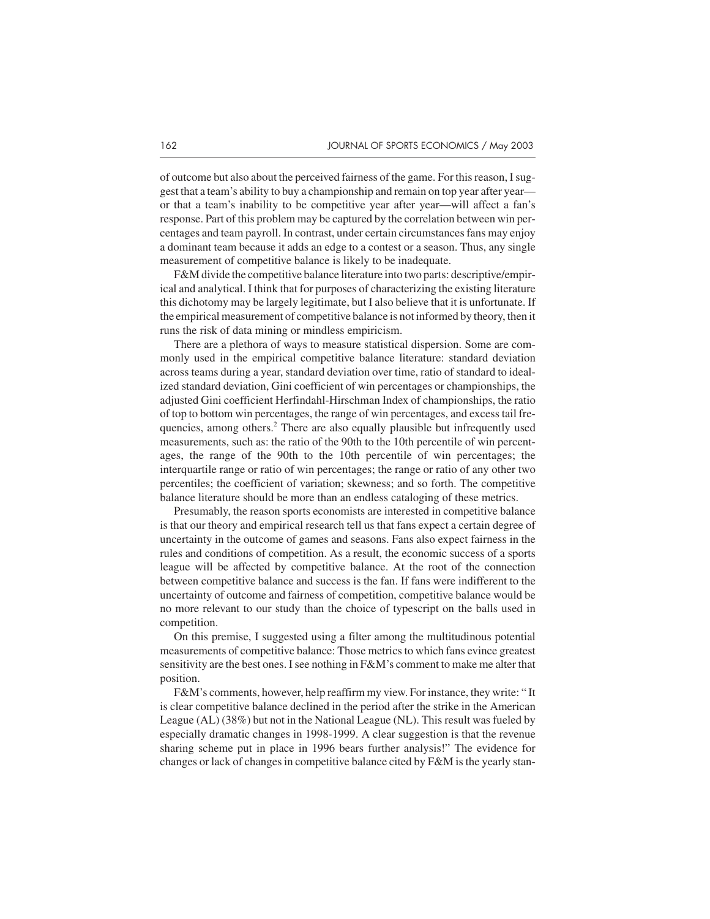of outcome but also about the perceived fairness of the game. For this reason, I suggest that a team's ability to buy a championship and remain on top year after year or that a team's inability to be competitive year after year—will affect a fan's response. Part of this problem may be captured by the correlation between win percentages and team payroll. In contrast, under certain circumstances fans may enjoy a dominant team because it adds an edge to a contest or a season. Thus, any single measurement of competitive balance is likely to be inadequate.

F&M divide the competitive balance literature into two parts: descriptive/empirical and analytical. I think that for purposes of characterizing the existing literature this dichotomy may be largely legitimate, but I also believe that it is unfortunate. If the empirical measurement of competitive balance is not informed by theory, then it runs the risk of data mining or mindless empiricism.

There are a plethora of ways to measure statistical dispersion. Some are commonly used in the empirical competitive balance literature: standard deviation across teams during a year, standard deviation over time, ratio of standard to idealized standard deviation, Gini coefficient of win percentages or championships, the adjusted Gini coefficient Herfindahl-Hirschman Index of championships, the ratio of top to bottom win percentages, the range of win percentages, and excess tail frequencies, among others.<sup>2</sup> There are also equally plausible but infrequently used measurements, such as: the ratio of the 90th to the 10th percentile of win percentages, the range of the 90th to the 10th percentile of win percentages; the interquartile range or ratio of win percentages; the range or ratio of any other two percentiles; the coefficient of variation; skewness; and so forth. The competitive balance literature should be more than an endless cataloging of these metrics.

Presumably, the reason sports economists are interested in competitive balance is that our theory and empirical research tell us that fans expect a certain degree of uncertainty in the outcome of games and seasons. Fans also expect fairness in the rules and conditions of competition. As a result, the economic success of a sports league will be affected by competitive balance. At the root of the connection between competitive balance and success is the fan. If fans were indifferent to the uncertainty of outcome and fairness of competition, competitive balance would be no more relevant to our study than the choice of typescript on the balls used in competition.

On this premise, I suggested using a filter among the multitudinous potential measurements of competitive balance: Those metrics to which fans evince greatest sensitivity are the best ones. I see nothing in F&M's comment to make me alter that position.

F&M's comments, however, help reaffirm my view. For instance, they write: " It is clear competitive balance declined in the period after the strike in the American League (AL) (38%) but not in the National League (NL). This result was fueled by especially dramatic changes in 1998-1999. A clear suggestion is that the revenue sharing scheme put in place in 1996 bears further analysis!" The evidence for changes or lack of changes in competitive balance cited by F&M is the yearly stan